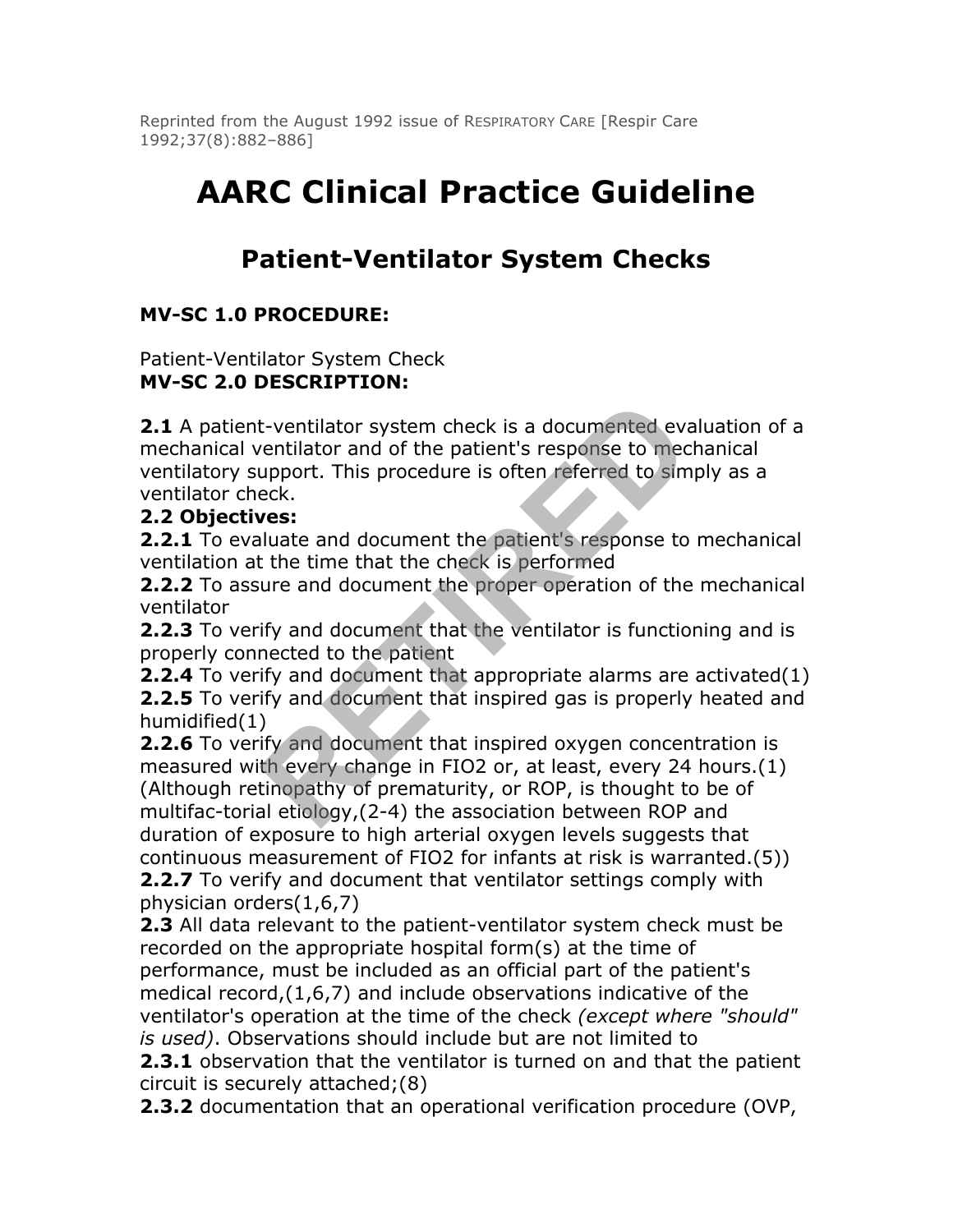Reprinted from the August 1992 issue of RESPIRATORY CARE [Respir Care 1992;37(8):882–886]

# **AARC Clinical Practice Guideline**

# **Patient-Ventilator System Checks**

## **MV-SC 1.0 PROCEDURE:**

Patient-Ventilator System Check **MV-SC 2.0 DESCRIPTION:**

**2.1** A patient-ventilator system check is a documented evaluation of a mechanical ventilator and of the patient's response to mechanical ventilatory support. This procedure is often referred to simply as a ventilator check.

#### **2.2 Objectives:**

**2.2.1** To evaluate and document the patient's response to mechanical ventilation at the time that the check is performed

**2.2.2** To assure and document the proper operation of the mechanical ventilator

**2.2.3** To verify and document that the ventilator is functioning and is properly connected to the patient

**2.2.4** To verify and document that appropriate alarms are activated(1) **2.2.5** To verify and document that inspired gas is properly heated and humidified(1)

**2.2.6** To verify and document that inspired oxygen concentration is measured with every change in FIO2 or, at least, every 24 hours.(1) (Although retinopathy of prematurity, or ROP, is thought to be of multifac-torial etiology,(2-4) the association between ROP and duration of exposure to high arterial oxygen levels suggests that continuous measurement of FIO2 for infants at risk is warranted.(5)) **2.2.7** To verify and document that ventilator settings comply with physician orders(1,6,7) t-ventilator system check is a documented eva<br>
echtilator and of the patient's response to mec<br>
upport. This procedure is often referred to sime<br>
eck.<br> **RESI:**<br>
lluate and document the patient's response to<br>
t the time tha

**2.3** All data relevant to the patient-ventilator system check must be recorded on the appropriate hospital form(s) at the time of performance, must be included as an official part of the patient's medical record,(1,6,7) and include observations indicative of the ventilator's operation at the time of the check *(except where "should" is used)*. Observations should include but are not limited to

**2.3.1** observation that the ventilator is turned on and that the patient circuit is securely attached;(8)

**2.3.2** documentation that an operational verification procedure (OVP,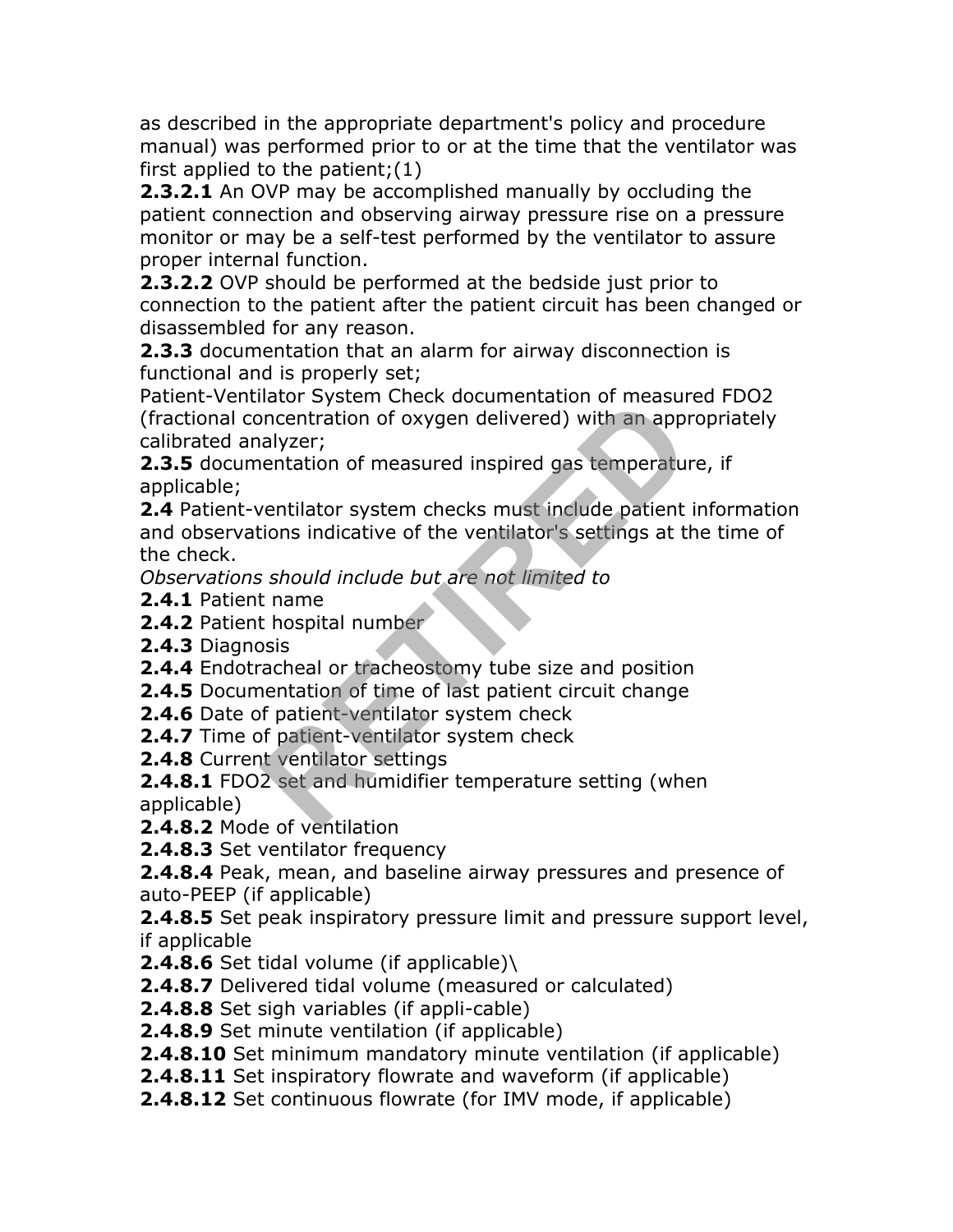as described in the appropriate department's policy and procedure manual) was performed prior to or at the time that the ventilator was first applied to the patient;(1)

**2.3.2.1** An OVP may be accomplished manually by occluding the patient connection and observing airway pressure rise on a pressure monitor or may be a self-test performed by the ventilator to assure proper internal function.

**2.3.2.2** OVP should be performed at the bedside just prior to connection to the patient after the patient circuit has been changed or disassembled for any reason.

**2.3.3** documentation that an alarm for airway disconnection is functional and is properly set;

Patient-Ventilator System Check documentation of measured FDO2 (fractional concentration of oxygen delivered) with an appropriately calibrated analyzer;

**2.3.5** documentation of measured inspired gas temperature, if applicable;

**2.4** Patient-ventilator system checks must include patient information and observations indicative of the ventilator's settings at the time of the check. Internation of oxygen delivered) with an approachmentration of measurementation of oxygen delivered) with an approachmentation of measured inspired gas temperature<br>ventilator system checks must include patient<br>ventilator s

*Observations should include but are not limited to*

**2.4.1** Patient name

**2.4.2** Patient hospital number

**2.4.3** Diagnosis

**2.4.4** Endotracheal or tracheostomy tube size and position

**2.4.5** Documentation of time of last patient circuit change

**2.4.6** Date of patient-ventilator system check

**2.4.7** Time of patient-ventilator system check

**2.4.8** Current ventilator settings

**2.4.8.1** FDO2 set and humidifier temperature setting (when applicable)

**2.4.8.2** Mode of ventilation

**2.4.8.3** Set ventilator frequency

**2.4.8.4** Peak, mean, and baseline airway pressures and presence of auto-PEEP (if applicable)

**2.4.8.5** Set peak inspiratory pressure limit and pressure support level, if applicable

**2.4.8.6** Set tidal volume (if applicable)\

**2.4.8.7** Delivered tidal volume (measured or calculated)

**2.4.8.8** Set sigh variables (if appli-cable)

**2.4.8.9** Set minute ventilation (if applicable)

**2.4.8.10** Set minimum mandatory minute ventilation (if applicable)

**2.4.8.11** Set inspiratory flowrate and waveform (if applicable)

**2.4.8.12** Set continuous flowrate (for IMV mode, if applicable)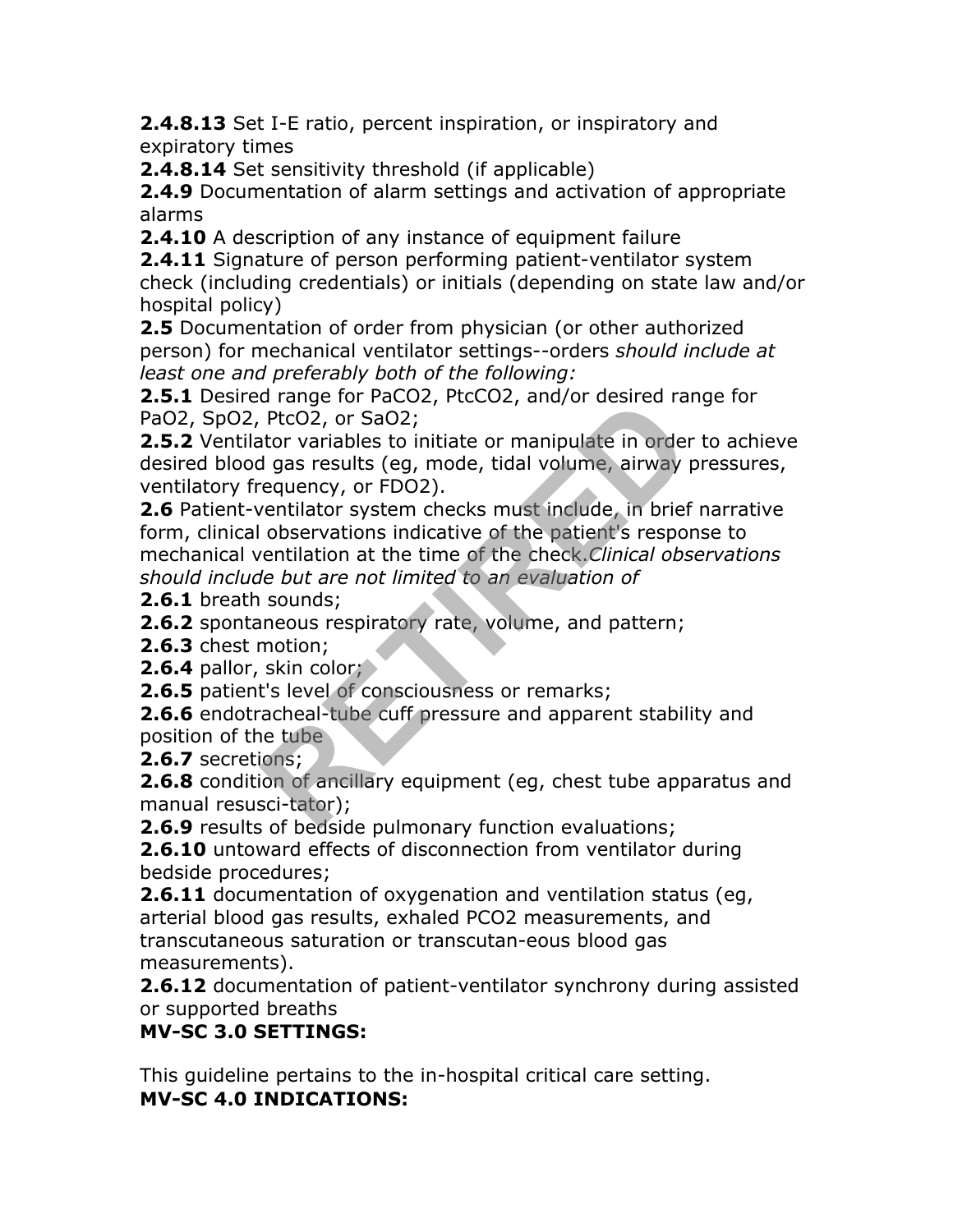**2.4.8.13** Set I-E ratio, percent inspiration, or inspiratory and expiratory times

**2.4.8.14** Set sensitivity threshold (if applicable)

**2.4.9** Documentation of alarm settings and activation of appropriate alarms

**2.4.10** A description of any instance of equipment failure

**2.4.11** Signature of person performing patient-ventilator system check (including credentials) or initials (depending on state law and/or hospital policy)

**2.5** Documentation of order from physician (or other authorized person) for mechanical ventilator settings--orders *should include at least one and preferably both of the following:*

**2.5.1** Desired range for PaCO2, PtcCO2, and/or desired range for PaO2, SpO2, PtcO2, or SaO2;

**2.5.2** Ventilator variables to initiate or manipulate in order to achieve desired blood gas results (eg, mode, tidal volume, airway pressures, ventilatory frequency, or FDO2).

**2.6** Patient-ventilator system checks must include, in brief narrative form, clinical observations indicative of the patient's response to mechanical ventilation at the time of the check.*Clinical observations should include but are not limited to an evaluation of* a range for racoz, recoz, and/or desired ra<br>PtcO2, or SaO2;<br>there variables to initiate or manipulate in order<br>d gas results (eg, mode, tidal volume, airway requency, or FDO2).<br>ventilator system checks must include, in bri

**2.6.1** breath sounds;

**2.6.2** spontaneous respiratory rate, volume, and pattern;

**2.6.3** chest motion;

**2.6.4** pallor, skin color;

**2.6.5** patient's level of consciousness or remarks;

**2.6.6** endotracheal-tube cuff pressure and apparent stability and position of the tube

**2.6.7** secretions;

**2.6.8** condition of ancillary equipment (eg, chest tube apparatus and manual resusci-tator);

**2.6.9** results of bedside pulmonary function evaluations;

**2.6.10** untoward effects of disconnection from ventilator during bedside procedures;

**2.6.11** documentation of oxygenation and ventilation status (eg, arterial blood gas results, exhaled PCO2 measurements, and transcutaneous saturation or transcutan-eous blood gas measurements).

**2.6.12** documentation of patient-ventilator synchrony during assisted or supported breaths

#### **MV-SC 3.0 SETTINGS:**

This guideline pertains to the in-hospital critical care setting. **MV-SC 4.0 INDICATIONS:**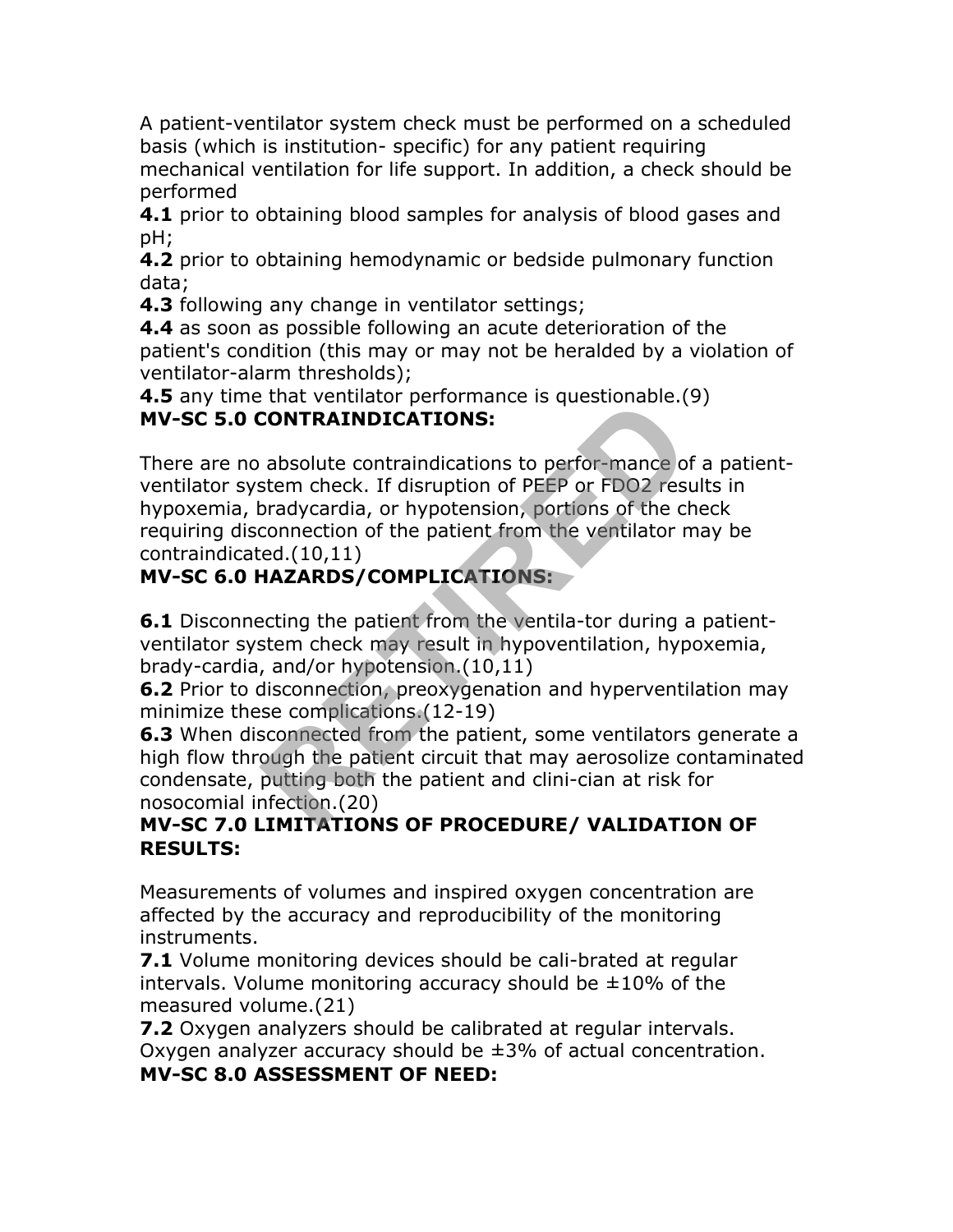A patient-ventilator system check must be performed on a scheduled basis (which is institution- specific) for any patient requiring mechanical ventilation for life support. In addition, a check should be performed

**4.1** prior to obtaining blood samples for analysis of blood gases and pH;

**4.2** prior to obtaining hemodynamic or bedside pulmonary function data;

**4.3** following any change in ventilator settings;

**4.4** as soon as possible following an acute deterioration of the patient's condition (this may or may not be heralded by a violation of ventilator-alarm thresholds);

**4.5** any time that ventilator performance is questionable.(9) **MV-SC 5.0 CONTRAINDICATIONS:**

There are no absolute contraindications to perfor-mance of a patientventilator system check. If disruption of PEEP or FDO2 results in hypoxemia, bradycardia, or hypotension, portions of the check requiring disconnection of the patient from the ventilator may be contraindicated.(10,11) **EXAMPLEATIONS:**<br> **RETAINDICATIONS:**<br> **RETAINDICATIONS:**<br> **RETAINMONTATIONS:**<br> **RETAINMONTATIONS:**<br> **RETAINMONTATIONS:**<br> **RETAINMONTATIONS:**<br> **RETAINMONTATIONS:**<br> **RETAINMONTATIONS:**<br> **RETAINMONTATIONS:**<br> **RETAINMONTATIONS** 

### **MV-SC 6.0 HAZARDS/COMPLICATIONS:**

**6.1** Disconnecting the patient from the ventila-tor during a patientventilator system check may result in hypoventilation, hypoxemia, brady-cardia, and/or hypotension.(10,11)

**6.2** Prior to disconnection, preoxygenation and hyperventilation may minimize these complications.(12-19)

**6.3** When disconnected from the patient, some ventilators generate a high flow through the patient circuit that may aerosolize contaminated condensate, putting both the patient and clini-cian at risk for nosocomial infection.(20)

#### **MV-SC 7.0 LIMITATIONS OF PROCEDURE/ VALIDATION OF RESULTS:**

Measurements of volumes and inspired oxygen concentration are affected by the accuracy and reproducibility of the monitoring instruments.

**7.1** Volume monitoring devices should be cali-brated at regular intervals. Volume monitoring accuracy should be  $\pm 10\%$  of the measured volume.(21)

**7.2** Oxygen analyzers should be calibrated at regular intervals. Oxygen analyzer accuracy should be ±3% of actual concentration.

#### **MV-SC 8.0 ASSESSMENT OF NEED:**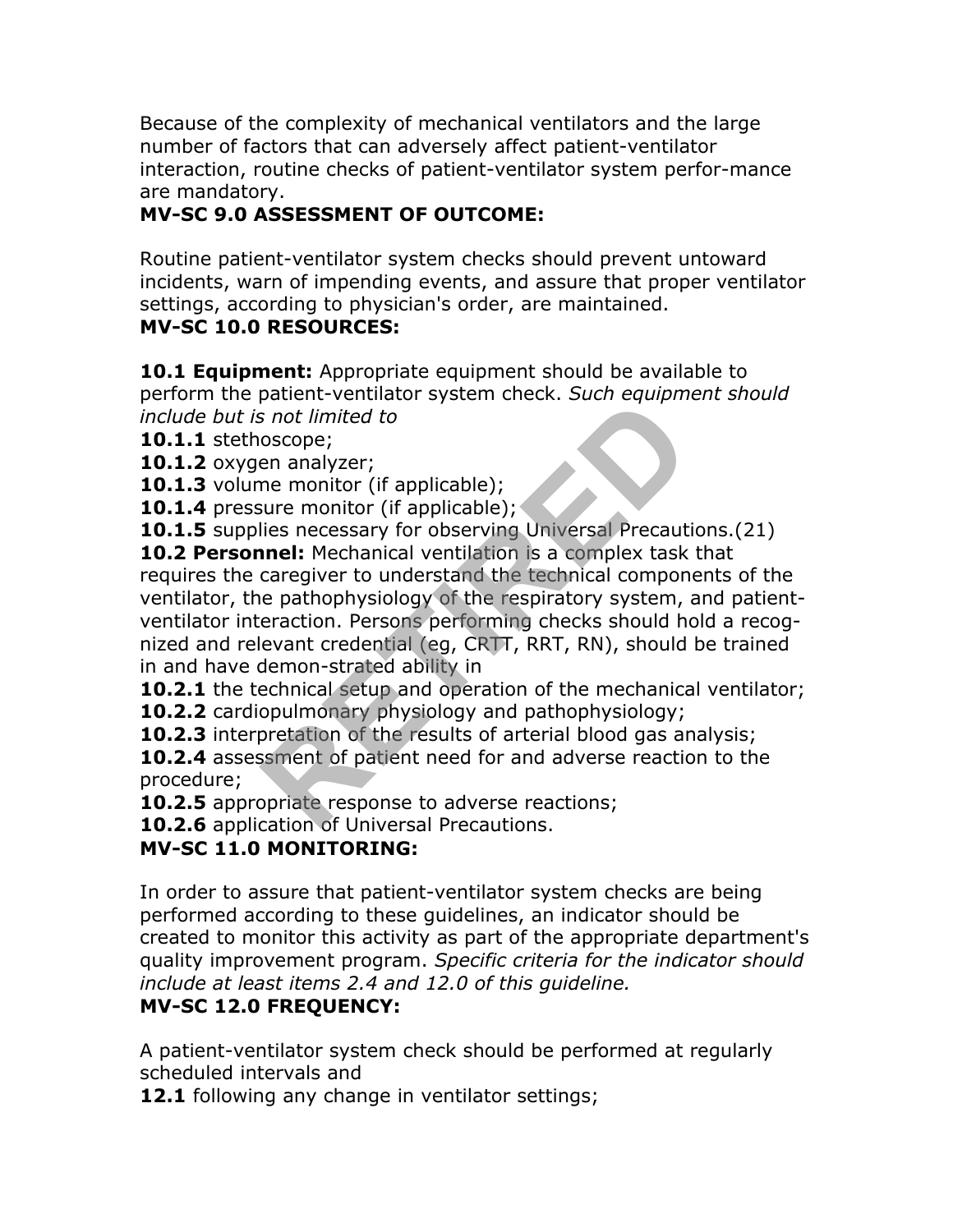Because of the complexity of mechanical ventilators and the large number of factors that can adversely affect patient-ventilator interaction, routine checks of patient-ventilator system perfor-mance are mandatory.

#### **MV-SC 9.0 ASSESSMENT OF OUTCOME:**

Routine patient-ventilator system checks should prevent untoward incidents, warn of impending events, and assure that proper ventilator settings, according to physician's order, are maintained.

#### **MV-SC 10.0 RESOURCES:**

**10.1 Equipment:** Appropriate equipment should be available to perform the patient-ventilator system check. *Such equipment should include but is not limited to*

**10.1.1** stethoscope;

**10.1.2** oxygen analyzer;

**10.1.3** volume monitor (if applicable);

**10.1.4** pressure monitor (if applicable);

10.1.5 supplies necessary for observing Universal Precautions.(21)

**10.2 Personnel:** Mechanical ventilation is a complex task that requires the caregiver to understand the technical components of the ventilator, the pathophysiology of the respiratory system, and patientventilator interaction. Persons performing checks should hold a recognized and relevant credential (eg, CRTT, RRT, RN), should be trained in and have demon-strated ability in parameter ventalists and limited to<br>
s not limited to<br>
exorpe;<br>
en analyzer;<br>
en analyzer;<br>
here monitor (if applicable);<br>
lies necessary for observing Universal Precaut<br> **numel:** Mechanical ventilation is a complex task<br>

**10.2.1** the technical setup and operation of the mechanical ventilator;

**10.2.2** cardiopulmonary physiology and pathophysiology;

**10.2.3** interpretation of the results of arterial blood gas analysis;

**10.2.4** assessment of patient need for and adverse reaction to the procedure;

**10.2.5** appropriate response to adverse reactions;

**10.2.6** application of Universal Precautions.

### **MV-SC 11.0 MONITORING:**

In order to assure that patient-ventilator system checks are being performed according to these guidelines, an indicator should be created to monitor this activity as part of the appropriate department's quality improvement program. *Specific criteria for the indicator should include at least items 2.4 and 12.0 of this guideline.*

#### **MV-SC 12.0 FREQUENCY:**

A patient-ventilator system check should be performed at regularly scheduled intervals and

**12.1** following any change in ventilator settings;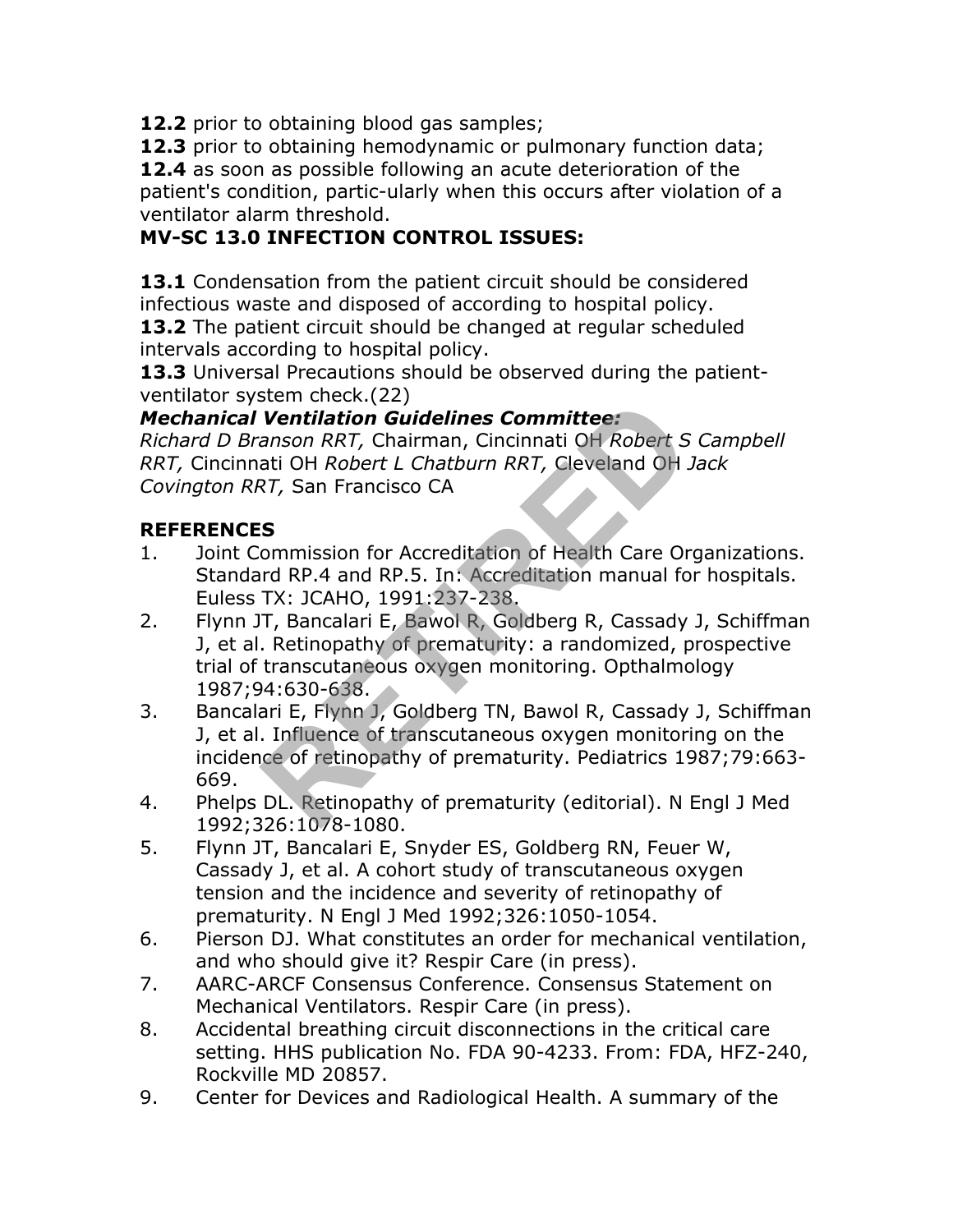**12.2** prior to obtaining blood gas samples;

**12.3** prior to obtaining hemodynamic or pulmonary function data;

**12.4** as soon as possible following an acute deterioration of the patient's condition, partic-ularly when this occurs after violation of a ventilator alarm threshold.

### **MV-SC 13.0 INFECTION CONTROL ISSUES:**

**13.1** Condensation from the patient circuit should be considered infectious waste and disposed of according to hospital policy. **13.2** The patient circuit should be changed at regular scheduled intervals according to hospital policy.

**13.3** Universal Precautions should be observed during the patientventilator system check.(22)

#### *Mechanical Ventilation Guidelines Committee:*

*Richard D Branson RRT,* Chairman, Cincinnati OH *Robert S Campbell RRT,* Cincinnati OH *Robert L Chatburn RRT,* Cleveland OH *Jack Covington RRT,* San Francisco CA

#### **REFERENCES**

- 1. Joint Commission for Accreditation of Health Care Organizations. Standard RP.4 and RP.5. In: Accreditation manual for hospitals. Euless TX: JCAHO, 1991:237-238.
- 2. Flynn JT, Bancalari E, Bawol R, Goldberg R, Cassady J, Schiffman J, et al. Retinopathy of prematurity: a randomized, prospective trial of transcutaneous oxygen monitoring. Opthalmology 1987;94:630-638. **Ventilation Guidelines Committee:**<br>
anson RRT, Chairman, Cincinnati OH Robert S<br>
ati OH Robert L Chatburn RRT, Cleveland OH .<br>
RT, San Francisco CA<br> **S**<br>
S<br>
commission for Accreditation of Health Care Or<br>
rd RP.4 and RP.5
- 3. Bancalari E, Flynn J, Goldberg TN, Bawol R, Cassady J, Schiffman J, et al. Influence of transcutaneous oxygen monitoring on the incidence of retinopathy of prematurity. Pediatrics 1987;79:663- 669.
- 4. Phelps DL. Retinopathy of prematurity (editorial). N Engl J Med 1992;326:1078-1080.
- 5. Flynn JT, Bancalari E, Snyder ES, Goldberg RN, Feuer W, Cassady J, et al. A cohort study of transcutaneous oxygen tension and the incidence and severity of retinopathy of prematurity. N Engl J Med 1992;326:1050-1054.
- 6. Pierson DJ. What constitutes an order for mechanical ventilation, and who should give it? Respir Care (in press).
- 7. AARC-ARCF Consensus Conference. Consensus Statement on Mechanical Ventilators. Respir Care (in press).
- 8. Accidental breathing circuit disconnections in the critical care setting. HHS publication No. FDA 90-4233. From: FDA, HFZ-240, Rockville MD 20857.
- 9. Center for Devices and Radiological Health. A summary of the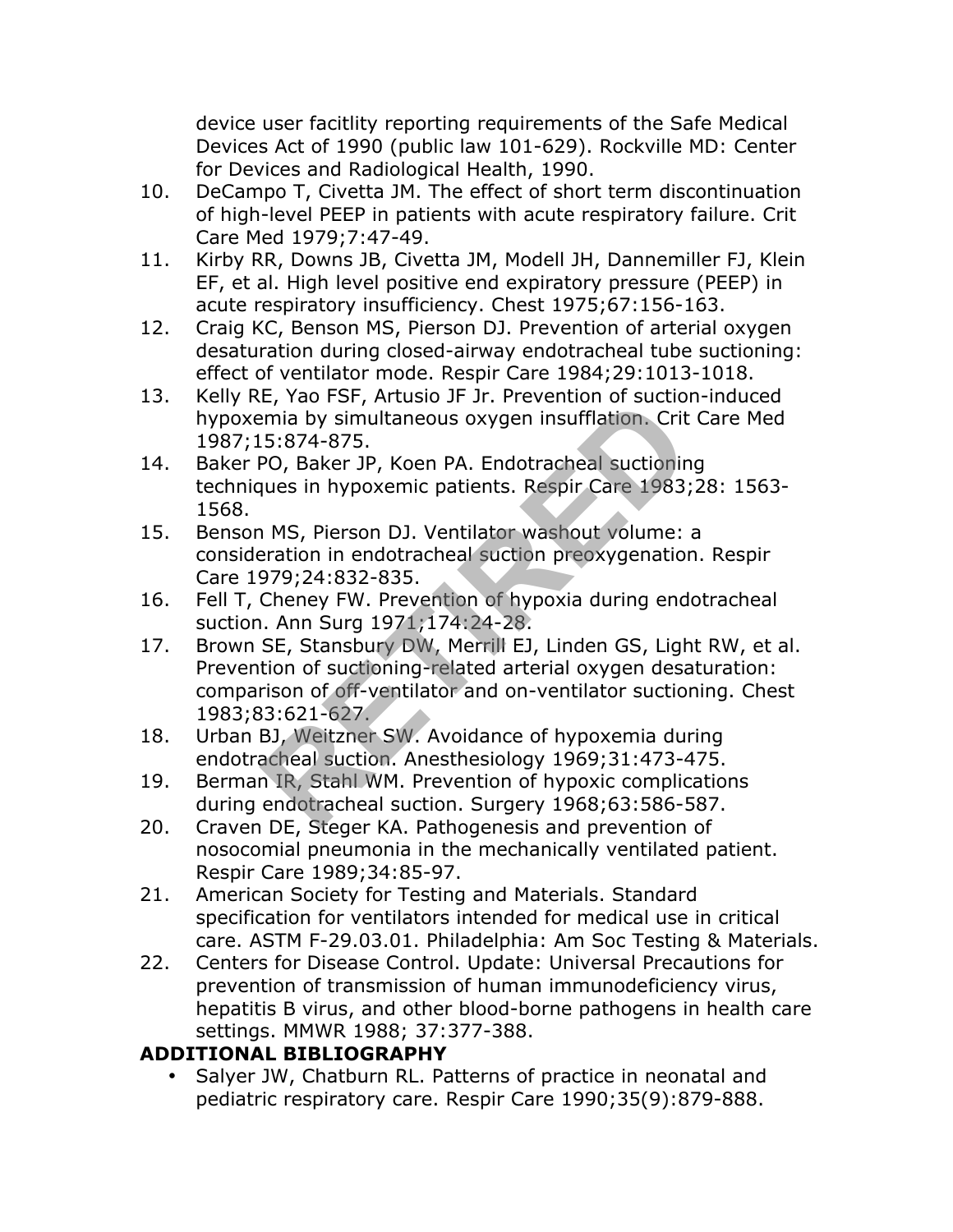device user facitlity reporting requirements of the Safe Medical Devices Act of 1990 (public law 101-629). Rockville MD: Center for Devices and Radiological Health, 1990.

- 10. DeCampo T, Civetta JM. The effect of short term discontinuation of high-level PEEP in patients with acute respiratory failure. Crit Care Med 1979;7:47-49.
- 11. Kirby RR, Downs JB, Civetta JM, Modell JH, Dannemiller FJ, Klein EF, et al. High level positive end expiratory pressure (PEEP) in acute respiratory insufficiency. Chest 1975;67:156-163.
- 12. Craig KC, Benson MS, Pierson DJ. Prevention of arterial oxygen desaturation during closed-airway endotracheal tube suctioning: effect of ventilator mode. Respir Care 1984;29:1013-1018.
- 13. Kelly RE, Yao FSF, Artusio JF Jr. Prevention of suction-induced hypoxemia by simultaneous oxygen insufflation. Crit Care Med 1987;15:874-875.
- 14. Baker PO, Baker JP, Koen PA. Endotracheal suctioning techniques in hypoxemic patients. Respir Care 1983;28: 1563- 1568.
- 15. Benson MS, Pierson DJ. Ventilator washout volume: a consideration in endotracheal suction preoxygenation. Respir Care 1979;24:832-835.
- 16. Fell T, Cheney FW. Prevention of hypoxia during endotracheal suction. Ann Surg 1971;174:24-28.
- 17. Brown SE, Stansbury DW, Merrill EJ, Linden GS, Light RW, et al. Prevention of suctioning-related arterial oxygen desaturation: comparison of off-ventilator and on-ventilator suctioning. Chest 1983;83:621-627. E, Tao F51, Artusio 31 31: Frevention of succion<br>
Fig. 5:874-875.<br>
PO, Baker JP, Koen PA. Endotracheal suctioning<br>
ques in hypoxemic patients. Respir Care 1983;<br>
NMS, Pierson DJ. Ventilator washout volume:<br>
pration in endo
- 18. Urban BJ, Weitzner SW. Avoidance of hypoxemia during endotracheal suction. Anesthesiology 1969;31:473-475.
- 19. Berman IR, Stahl WM. Prevention of hypoxic complications during endotracheal suction. Surgery 1968;63:586-587.
- 20. Craven DE, Steger KA. Pathogenesis and prevention of nosocomial pneumonia in the mechanically ventilated patient. Respir Care 1989;34:85-97.
- 21. American Society for Testing and Materials. Standard specification for ventilators intended for medical use in critical care. ASTM F-29.03.01. Philadelphia: Am Soc Testing & Materials.
- 22. Centers for Disease Control. Update: Universal Precautions for prevention of transmission of human immunodeficiency virus, hepatitis B virus, and other blood-borne pathogens in health care settings. MMWR 1988; 37:377-388.

#### **ADDITIONAL BIBLIOGRAPHY**

Salyer JW, Chatburn RL. Patterns of practice in neonatal and pediatric respiratory care. Respir Care 1990;35(9):879-888.